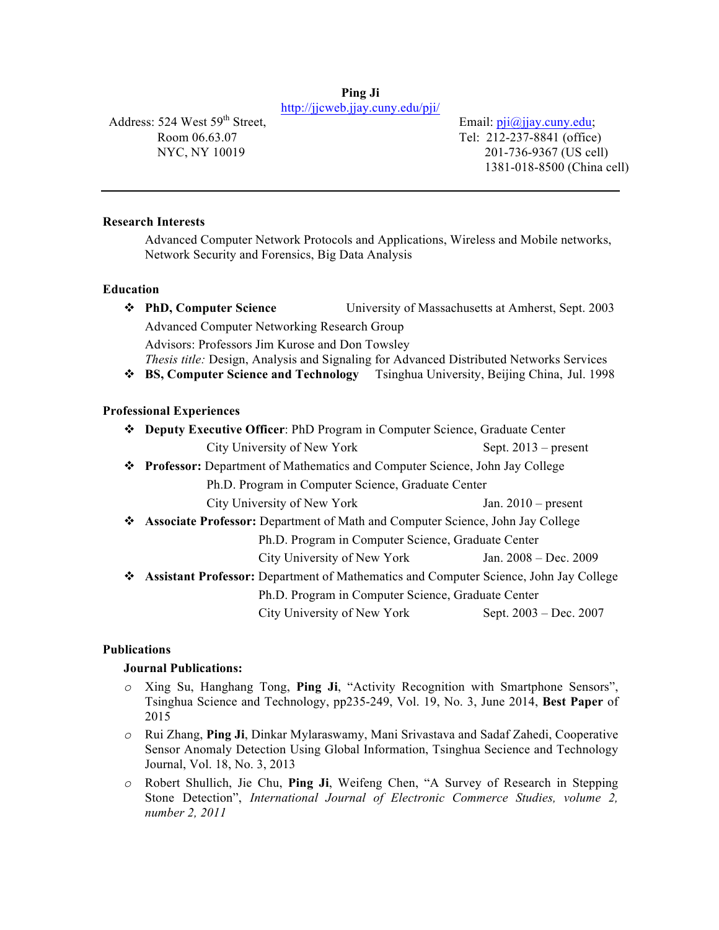#### **Ping Ji** http://jjcweb.jjay.cuny.edu/pji/

Address: 524 West 59<sup>th</sup> Street, Room 06.63.07 NYC, NY 10019

Email:  $pi@jjay.cuny.edu;$  Tel: 212-237-8841 (office) 201-736-9367 (US cell) 1381-018-8500 (China cell)

## **Research Interests**

Advanced Computer Network Protocols and Applications, Wireless and Mobile networks, Network Security and Forensics, Big Data Analysis

#### **Education**

v **PhD, Computer Science** University of Massachusetts at Amherst, Sept. 2003 Advanced Computer Networking Research Group Advisors: Professors Jim Kurose and Don Towsley *Thesis title:* Design, Analysis and Signaling for Advanced Distributed Networks Services

v **BS, Computer Science and Technology** Tsinghua University, Beijing China, Jul. 1998

#### **Professional Experiences**

- v **Deputy Executive Officer**: PhD Program in Computer Science, Graduate Center City University of New York Sept. 2013 – present
- v **Professor:** Department of Mathematics and Computer Science, John Jay College

Ph.D. Program in Computer Science, Graduate Center

City University of New York Jan. 2010 – present

v **Associate Professor:** Department of Math and Computer Science, John Jay College

Ph.D. Program in Computer Science, Graduate Center

City University of New York Jan. 2008 – Dec. 2009

v **Assistant Professor:** Department of Mathematics and Computer Science, John Jay College

Ph.D. Program in Computer Science, Graduate Center

City University of New York Sept. 2003 – Dec. 2007

#### **Publications**

#### **Journal Publications:**

- *o* Xing Su, Hanghang Tong, **Ping Ji**, "Activity Recognition with Smartphone Sensors", Tsinghua Science and Technology, pp235-249, Vol. 19, No. 3, June 2014, **Best Paper** of 2015
- *o* Rui Zhang, **Ping Ji**, Dinkar Mylaraswamy, Mani Srivastava and Sadaf Zahedi, Cooperative Sensor Anomaly Detection Using Global Information, Tsinghua Secience and Technology Journal, Vol. 18, No. 3, 2013
- *o* Robert Shullich, Jie Chu, **Ping Ji**, Weifeng Chen, "A Survey of Research in Stepping Stone Detection", *International Journal of Electronic Commerce Studies, volume 2, number 2, 2011*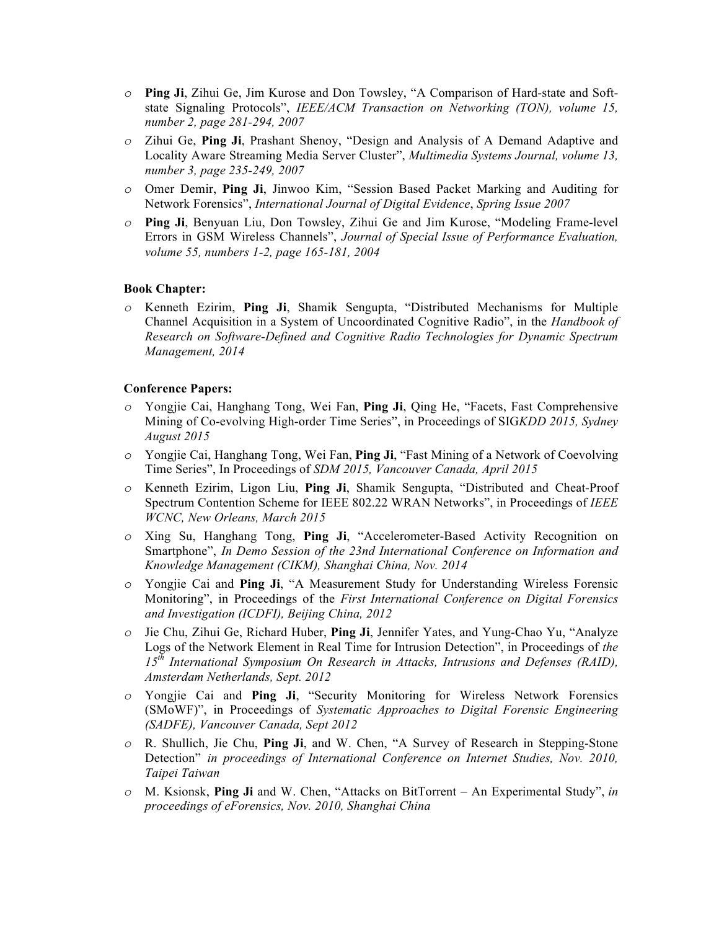- *o* **Ping Ji**, Zihui Ge, Jim Kurose and Don Towsley, "A Comparison of Hard-state and Softstate Signaling Protocols", *IEEE/ACM Transaction on Networking (TON), volume 15, number 2, page 281-294, 2007*
- *o* Zihui Ge, **Ping Ji**, Prashant Shenoy, "Design and Analysis of A Demand Adaptive and Locality Aware Streaming Media Server Cluster", *Multimedia Systems Journal, volume 13, number 3, page 235-249, 2007*
- *o* Omer Demir, **Ping Ji**, Jinwoo Kim, "Session Based Packet Marking and Auditing for Network Forensics", *International Journal of Digital Evidence*, *Spring Issue 2007*
- *o* **Ping Ji**, Benyuan Liu, Don Towsley, Zihui Ge and Jim Kurose, "Modeling Frame-level Errors in GSM Wireless Channels", *Journal of Special Issue of Performance Evaluation, volume 55, numbers 1-2, page 165-181, 2004*

## **Book Chapter:**

*o* Kenneth Ezirim, **Ping Ji**, Shamik Sengupta, "Distributed Mechanisms for Multiple Channel Acquisition in a System of Uncoordinated Cognitive Radio", in the *Handbook of Research on Software-Defined and Cognitive Radio Technologies for Dynamic Spectrum Management, 2014*

#### **Conference Papers:**

- *o* Yongjie Cai, Hanghang Tong, Wei Fan, **Ping Ji**, Qing He, "Facets, Fast Comprehensive Mining of Co-evolving High-order Time Series", in Proceedings of SIG*KDD 2015, Sydney August 2015*
- *o* Yongjie Cai, Hanghang Tong, Wei Fan, **Ping Ji**, "Fast Mining of a Network of Coevolving Time Series", In Proceedings of *SDM 2015, Vancouver Canada, April 2015*
- *o* Kenneth Ezirim, Ligon Liu, **Ping Ji**, Shamik Sengupta, "Distributed and Cheat-Proof Spectrum Contention Scheme for IEEE 802.22 WRAN Networks", in Proceedings of *IEEE WCNC, New Orleans, March 2015*
- *o* Xing Su, Hanghang Tong, **Ping Ji**, "Accelerometer-Based Activity Recognition on Smartphone", *In Demo Session of the 23nd International Conference on Information and Knowledge Management (CIKM), Shanghai China, Nov. 2014*
- *o* Yongjie Cai and **Ping Ji**, "A Measurement Study for Understanding Wireless Forensic Monitoring", in Proceedings of the *First International Conference on Digital Forensics and Investigation (ICDFI), Beijing China, 2012*
- *o* Jie Chu, Zihui Ge, Richard Huber, **Ping Ji**, Jennifer Yates, and Yung-Chao Yu, "Analyze Logs of the Network Element in Real Time for Intrusion Detection", in Proceedings of *the 15th International Symposium On Research in Attacks, Intrusions and Defenses (RAID), Amsterdam Netherlands, Sept. 2012*
- *o* Yongjie Cai and **Ping Ji**, "Security Monitoring for Wireless Network Forensics (SMoWF)", in Proceedings of *Systematic Approaches to Digital Forensic Engineering (SADFE), Vancouver Canada, Sept 2012*
- *o* R. Shullich, Jie Chu, **Ping Ji**, and W. Chen, "A Survey of Research in Stepping-Stone Detection" *in proceedings of International Conference on Internet Studies, Nov. 2010, Taipei Taiwan*
- *o* M. Ksionsk, **Ping Ji** and W. Chen, "Attacks on BitTorrent An Experimental Study", *in proceedings of eForensics, Nov. 2010, Shanghai China*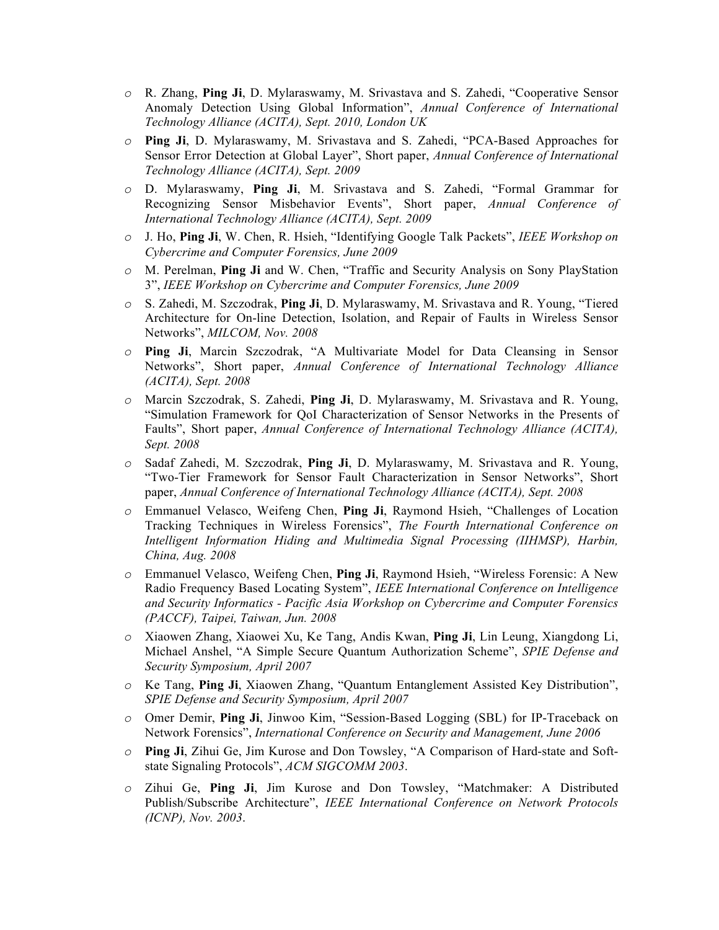- *o* R. Zhang, **Ping Ji**, D. Mylaraswamy, M. Srivastava and S. Zahedi, "Cooperative Sensor Anomaly Detection Using Global Information", *Annual Conference of International Technology Alliance (ACITA), Sept. 2010, London UK*
- *o* **Ping Ji**, D. Mylaraswamy, M. Srivastava and S. Zahedi, "PCA-Based Approaches for Sensor Error Detection at Global Layer", Short paper, *Annual Conference of International Technology Alliance (ACITA), Sept. 2009*
- *o* D. Mylaraswamy, **Ping Ji**, M. Srivastava and S. Zahedi, "Formal Grammar for Recognizing Sensor Misbehavior Events", Short paper, *Annual Conference of International Technology Alliance (ACITA), Sept. 2009*
- *o* J. Ho, **Ping Ji**, W. Chen, R. Hsieh, "Identifying Google Talk Packets", *IEEE Workshop on Cybercrime and Computer Forensics, June 2009*
- *o* M. Perelman, **Ping Ji** and W. Chen, "Traffic and Security Analysis on Sony PlayStation 3", *IEEE Workshop on Cybercrime and Computer Forensics, June 2009*
- *o* S. Zahedi, M. Szczodrak, **Ping Ji**, D. Mylaraswamy, M. Srivastava and R. Young, "Tiered Architecture for On-line Detection, Isolation, and Repair of Faults in Wireless Sensor Networks", *MILCOM, Nov. 2008*
- *o* **Ping Ji**, Marcin Szczodrak, "A Multivariate Model for Data Cleansing in Sensor Networks", Short paper, *Annual Conference of International Technology Alliance (ACITA), Sept. 2008*
- *o* Marcin Szczodrak, S. Zahedi, **Ping Ji**, D. Mylaraswamy, M. Srivastava and R. Young, "Simulation Framework for QoI Characterization of Sensor Networks in the Presents of Faults", Short paper, *Annual Conference of International Technology Alliance (ACITA), Sept. 2008*
- *o* Sadaf Zahedi, M. Szczodrak, **Ping Ji**, D. Mylaraswamy, M. Srivastava and R. Young, "Two-Tier Framework for Sensor Fault Characterization in Sensor Networks", Short paper, *Annual Conference of International Technology Alliance (ACITA), Sept. 2008*
- *o* Emmanuel Velasco, Weifeng Chen, **Ping Ji**, Raymond Hsieh, "Challenges of Location Tracking Techniques in Wireless Forensics", *The Fourth International Conference on Intelligent Information Hiding and Multimedia Signal Processing (IIHMSP), Harbin, China, Aug. 2008*
- *o* Emmanuel Velasco, Weifeng Chen, **Ping Ji**, Raymond Hsieh, "Wireless Forensic: A New Radio Frequency Based Locating System", *IEEE International Conference on Intelligence and Security Informatics - Pacific Asia Workshop on Cybercrime and Computer Forensics (PACCF), Taipei, Taiwan, Jun. 2008*
- *o* Xiaowen Zhang, Xiaowei Xu, Ke Tang, Andis Kwan, **Ping Ji**, Lin Leung, Xiangdong Li, Michael Anshel, "A Simple Secure Quantum Authorization Scheme", *SPIE Defense and Security Symposium, April 2007*
- *o* Ke Tang, **Ping Ji**, Xiaowen Zhang, "Quantum Entanglement Assisted Key Distribution", *SPIE Defense and Security Symposium, April 2007*
- *o* Omer Demir, **Ping Ji**, Jinwoo Kim, "Session-Based Logging (SBL) for IP-Traceback on Network Forensics", *International Conference on Security and Management, June 2006*
- *o* **Ping Ji**, Zihui Ge, Jim Kurose and Don Towsley, "A Comparison of Hard-state and Softstate Signaling Protocols", *ACM SIGCOMM 2003*.
- *o* Zihui Ge, **Ping Ji**, Jim Kurose and Don Towsley, "Matchmaker: A Distributed Publish/Subscribe Architecture", *IEEE International Conference on Network Protocols (ICNP), Nov. 2003*.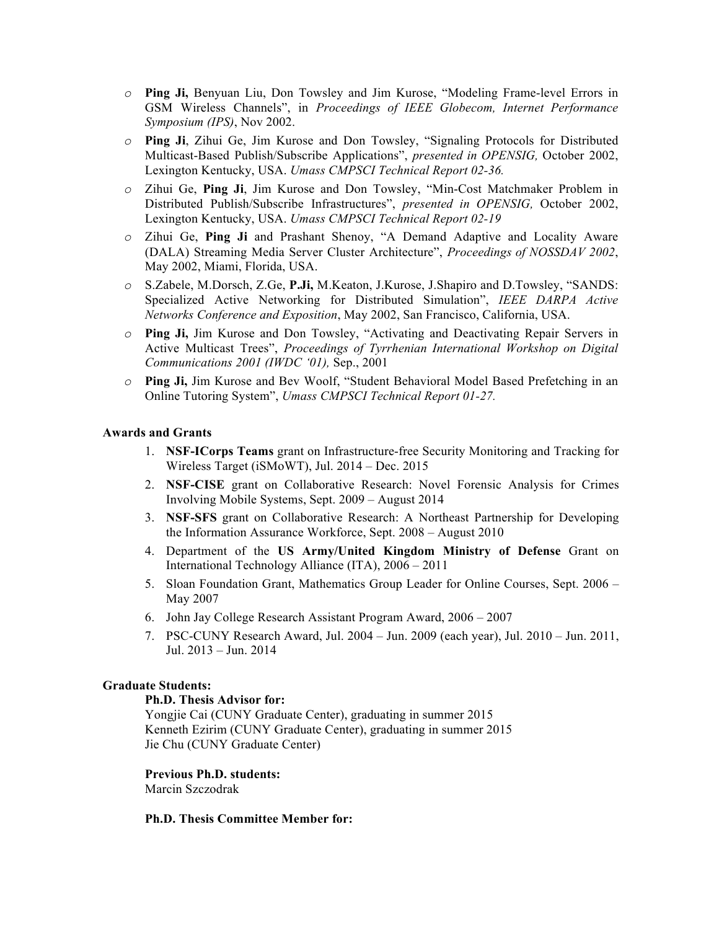- *o* **Ping Ji,** Benyuan Liu, Don Towsley and Jim Kurose, "Modeling Frame-level Errors in GSM Wireless Channels", in *Proceedings of IEEE Globecom, Internet Performance Symposium (IPS)*, Nov 2002.
- *o* **Ping Ji**, Zihui Ge, Jim Kurose and Don Towsley, "Signaling Protocols for Distributed Multicast-Based Publish/Subscribe Applications", *presented in OPENSIG,* October 2002, Lexington Kentucky, USA. *Umass CMPSCI Technical Report 02-36.*
- *o* Zihui Ge, **Ping Ji**, Jim Kurose and Don Towsley, "Min-Cost Matchmaker Problem in Distributed Publish/Subscribe Infrastructures", *presented in OPENSIG,* October 2002, Lexington Kentucky, USA. *Umass CMPSCI Technical Report 02-19*
- *o* Zihui Ge, **Ping Ji** and Prashant Shenoy, "A Demand Adaptive and Locality Aware (DALA) Streaming Media Server Cluster Architecture", *Proceedings of NOSSDAV 2002*, May 2002, Miami, Florida, USA.
- *o* S.Zabele, M.Dorsch, Z.Ge, **P.Ji,** M.Keaton, J.Kurose, J.Shapiro and D.Towsley, "SANDS: Specialized Active Networking for Distributed Simulation", *IEEE DARPA Active Networks Conference and Exposition*, May 2002, San Francisco, California, USA.
- *o* **Ping Ji,** Jim Kurose and Don Towsley, "Activating and Deactivating Repair Servers in Active Multicast Trees", *Proceedings of Tyrrhenian International Workshop on Digital Communications 2001 (IWDC '01),* Sep., 2001
- *o* **Ping Ji,** Jim Kurose and Bev Woolf, "Student Behavioral Model Based Prefetching in an Online Tutoring System", *Umass CMPSCI Technical Report 01-27.*

## **Awards and Grants**

- 1. **NSF-ICorps Teams** grant on Infrastructure-free Security Monitoring and Tracking for Wireless Target (iSMoWT), Jul. 2014 – Dec. 2015
- 2. **NSF-CISE** grant on Collaborative Research: Novel Forensic Analysis for Crimes Involving Mobile Systems, Sept. 2009 – August 2014
- 3. **NSF-SFS** grant on Collaborative Research: A Northeast Partnership for Developing the Information Assurance Workforce, Sept. 2008 – August 2010
- 4. Department of the **US Army/United Kingdom Ministry of Defense** Grant on International Technology Alliance (ITA), 2006 – 2011
- 5. Sloan Foundation Grant, Mathematics Group Leader for Online Courses, Sept. 2006 May 2007
- 6. John Jay College Research Assistant Program Award, 2006 2007
- 7. PSC-CUNY Research Award, Jul. 2004 Jun. 2009 (each year), Jul. 2010 Jun. 2011, Jul. 2013 – Jun. 2014

#### **Graduate Students:**

#### **Ph.D. Thesis Advisor for:**

Yongjie Cai (CUNY Graduate Center), graduating in summer 2015 Kenneth Ezirim (CUNY Graduate Center), graduating in summer 2015 Jie Chu (CUNY Graduate Center)

#### **Previous Ph.D. students:**

Marcin Szczodrak

#### **Ph.D. Thesis Committee Member for:**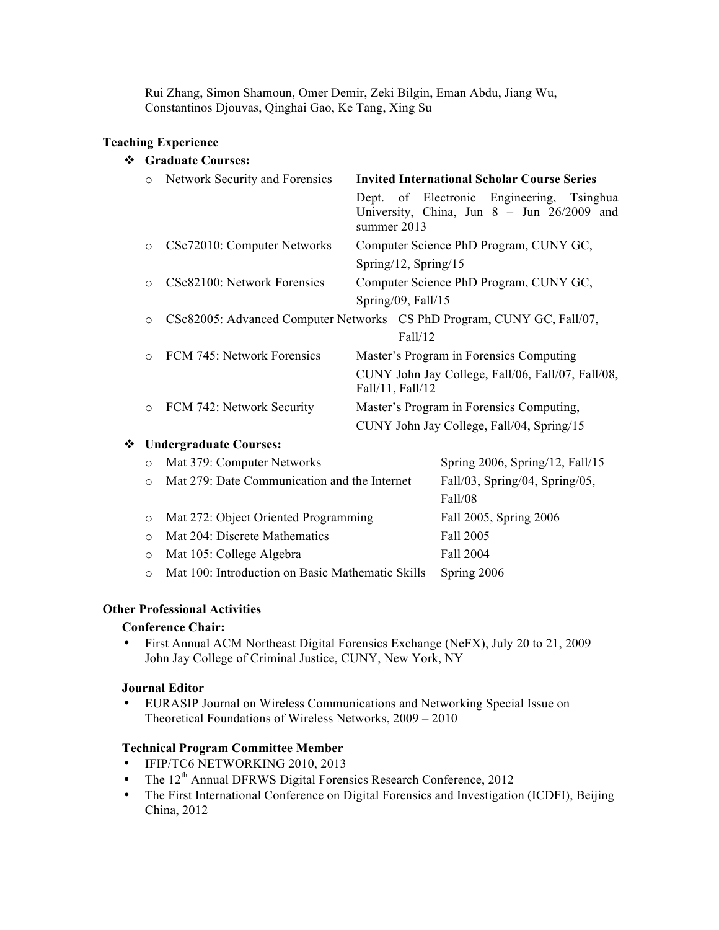Rui Zhang, Simon Shamoun, Omer Demir, Zeki Bilgin, Eman Abdu, Jiang Wu, Constantinos Djouvas, Qinghai Gao, Ke Tang, Xing Su

## **Teaching Experience**

# v **Graduate Courses:**

| $\circ$ | Network Security and Forensics | <b>Invited International Scholar Course Series</b>                                                          |  |
|---------|--------------------------------|-------------------------------------------------------------------------------------------------------------|--|
|         |                                | Dept. of Electronic Engineering,<br>Tsinghua<br>University, China, Jun 8 - Jun 26/2009 and<br>summer $2013$ |  |
| $\circ$ | CSc72010: Computer Networks    | Computer Science PhD Program, CUNY GC,                                                                      |  |
|         |                                | Spring/12, Spring/15                                                                                        |  |
| ∩       | CSc82100: Network Forensics    | Computer Science PhD Program, CUNY GC,                                                                      |  |
|         |                                | Spring/09, Fall/15                                                                                          |  |
| O       |                                | CSc82005: Advanced Computer Networks CS PhD Program, CUNY GC, Fall/07,                                      |  |
|         |                                | Fall/12                                                                                                     |  |
|         | FCM 745: Network Forensics     | Master's Program in Forensics Computing                                                                     |  |
|         |                                | CUNY John Jay College, Fall/06, Fall/07, Fall/08,<br>Fall/11, Fall/12                                       |  |
| $\circ$ | FCM 742: Network Security      | Master's Program in Forensics Computing,                                                                    |  |
|         |                                | CUNY John Jay College, Fall/04, Spring/15                                                                   |  |

## v **Undergraduate Courses:**

| $\circ$    | Mat 379: Computer Networks                       | Spring $2006$ , Spring/12, Fall/15 |
|------------|--------------------------------------------------|------------------------------------|
| $\bigcirc$ | Mat 279: Date Communication and the Internet     | Fall/03, Spring/04, Spring/05,     |
|            |                                                  | Fall/08                            |
| $\circ$    | Mat 272: Object Oriented Programming             | Fall 2005, Spring 2006             |
| $\Omega$   | Mat 204: Discrete Mathematics                    | Fall 2005                          |
| $\circ$    | Mat 105: College Algebra                         | Fall 2004                          |
|            | Mat 100: Introduction on Basic Mathematic Skills | Spring 2006                        |
|            |                                                  |                                    |

## **Other Professional Activities**

# **Conference Chair:**

• First Annual ACM Northeast Digital Forensics Exchange (NeFX), July 20 to 21, 2009 John Jay College of Criminal Justice, CUNY, New York, NY

## **Journal Editor**

• EURASIP Journal on Wireless Communications and Networking Special Issue on Theoretical Foundations of Wireless Networks, 2009 – 2010

## **Technical Program Committee Member**

- IFIP/TC6 NETWORKING 2010, 2013
- The  $12<sup>th</sup>$  Annual DFRWS Digital Forensics Research Conference, 2012
- The First International Conference on Digital Forensics and Investigation (ICDFI), Beijing China, 2012